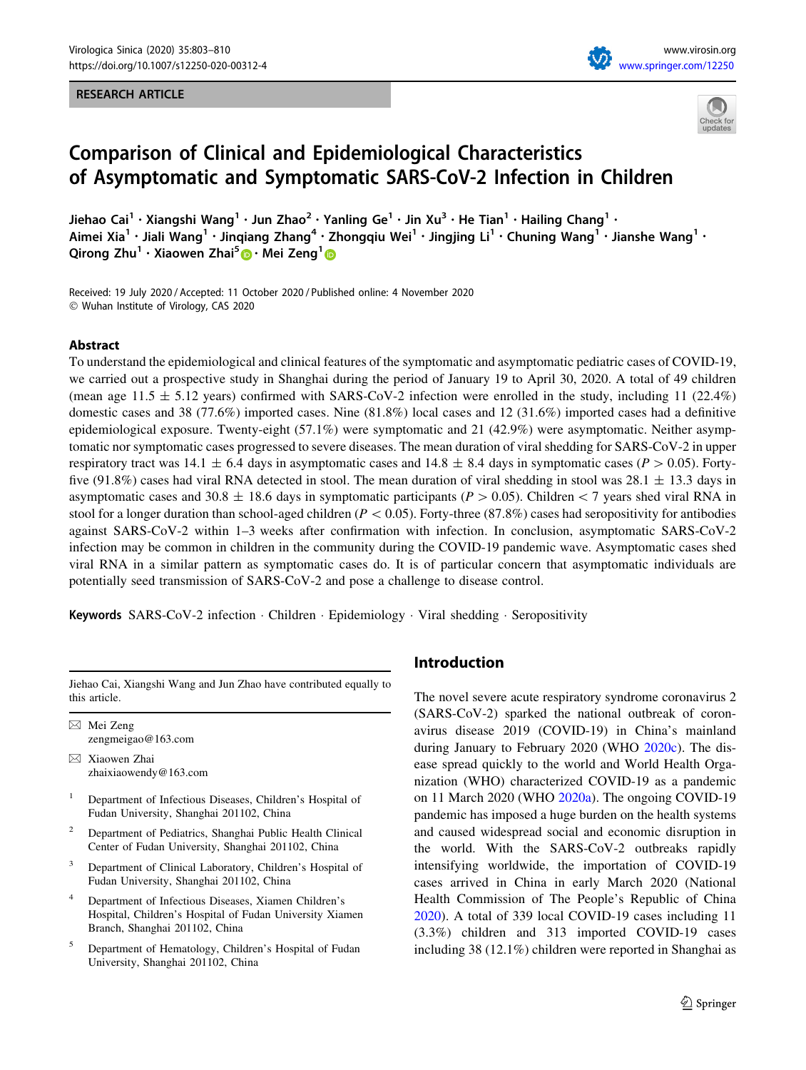## RESEARCH ARTICLE





# Comparison of Clinical and Epidemiological Characteristics of Asymptomatic and Symptomatic SARS-CoV-2 Infection in Children

Jiehao Cai<sup>1</sup> • Xiangshi Wang<sup>1</sup> • Jun Zhao<sup>2</sup> • Yanling Ge<sup>1</sup> • Jin Xu<sup>3</sup> • He Tian<sup>1</sup> • Hailing Chang<sup>1</sup> • Aimei Xia<sup>1</sup> • Jiali Wang<sup>1</sup> • Jinqiang Zhang<sup>4</sup> • Zhongqiu Wei<sup>1</sup> • Jingjing Li<sup>1</sup> • Chuning Wang<sup>1</sup> • Jianshe Wang<sup>1</sup> • Qirong Zhu<sup>1</sup> • Xiaowen Zhai<sup>5</sup>  $\bullet$  • Mei Zeng<sup>1</sup>  $\bullet$ 

Received: 19 July 2020 / Accepted: 11 October 2020 / Published online: 4 November 2020 - Wuhan Institute of Virology, CAS 2020

## Abstract

To understand the epidemiological and clinical features of the symptomatic and asymptomatic pediatric cases of COVID-19, we carried out a prospective study in Shanghai during the period of January 19 to April 30, 2020. A total of 49 children (mean age  $11.5 \pm 5.12$  years) confirmed with SARS-CoV-2 infection were enrolled in the study, including 11 (22.4%) domestic cases and 38 (77.6%) imported cases. Nine (81.8%) local cases and 12 (31.6%) imported cases had a definitive epidemiological exposure. Twenty-eight (57.1%) were symptomatic and 21 (42.9%) were asymptomatic. Neither asymptomatic nor symptomatic cases progressed to severe diseases. The mean duration of viral shedding for SARS-CoV-2 in upper respiratory tract was 14.1  $\pm$  6.4 days in asymptomatic cases and 14.8  $\pm$  8.4 days in symptomatic cases (P  $>$  0.05). Fortyfive (91.8%) cases had viral RNA detected in stool. The mean duration of viral shedding in stool was  $28.1 \pm 13.3$  days in asymptomatic cases and 30.8  $\pm$  18.6 days in symptomatic participants (P  $>$  0.05). Children $<$  7 years shed viral RNA in stool for a longer duration than school-aged children ( $P < 0.05$ ). Forty-three (87.8%) cases had seropositivity for antibodies against SARS-CoV-2 within 1–3 weeks after confirmation with infection. In conclusion, asymptomatic SARS-CoV-2 infection may be common in children in the community during the COVID-19 pandemic wave. Asymptomatic cases shed viral RNA in a similar pattern as symptomatic cases do. It is of particular concern that asymptomatic individuals are potentially seed transmission of SARS-CoV-2 and pose a challenge to disease control.

Keywords SARS-CoV-2 infection · Children · Epidemiology · Viral shedding · Seropositivity

Jiehao Cai, Xiangshi Wang and Jun Zhao have contributed equally to this article.

 $\boxtimes$  Mei Zeng zengmeigao@163.com

- & Xiaowen Zhai zhaixiaowendy@163.com
- <sup>1</sup> Department of Infectious Diseases, Children's Hospital of Fudan University, Shanghai 201102, China
- <sup>2</sup> Department of Pediatrics, Shanghai Public Health Clinical Center of Fudan University, Shanghai 201102, China
- <sup>3</sup> Department of Clinical Laboratory, Children's Hospital of Fudan University, Shanghai 201102, China
- Department of Infectious Diseases, Xiamen Children's Hospital, Children's Hospital of Fudan University Xiamen Branch, Shanghai 201102, China
- <sup>5</sup> Department of Hematology, Children's Hospital of Fudan University, Shanghai 201102, China

# Introduction

The novel severe acute respiratory syndrome coronavirus 2 (SARS-CoV-2) sparked the national outbreak of coronavirus disease 2019 (COVID-19) in China's mainland during January to February 2020 (WHO [2020c\)](#page-7-0). The disease spread quickly to the world and World Health Organization (WHO) characterized COVID-19 as a pandemic on 11 March 2020 (WHO [2020a](#page-7-0)). The ongoing COVID-19 pandemic has imposed a huge burden on the health systems and caused widespread social and economic disruption in the world. With the SARS-CoV-2 outbreaks rapidly intensifying worldwide, the importation of COVID-19 cases arrived in China in early March 2020 (National Health Commission of The People's Republic of China [2020](#page-6-0)). A total of 339 local COVID-19 cases including 11 (3.3%) children and 313 imported COVID-19 cases including 38 (12.1%) children were reported in Shanghai as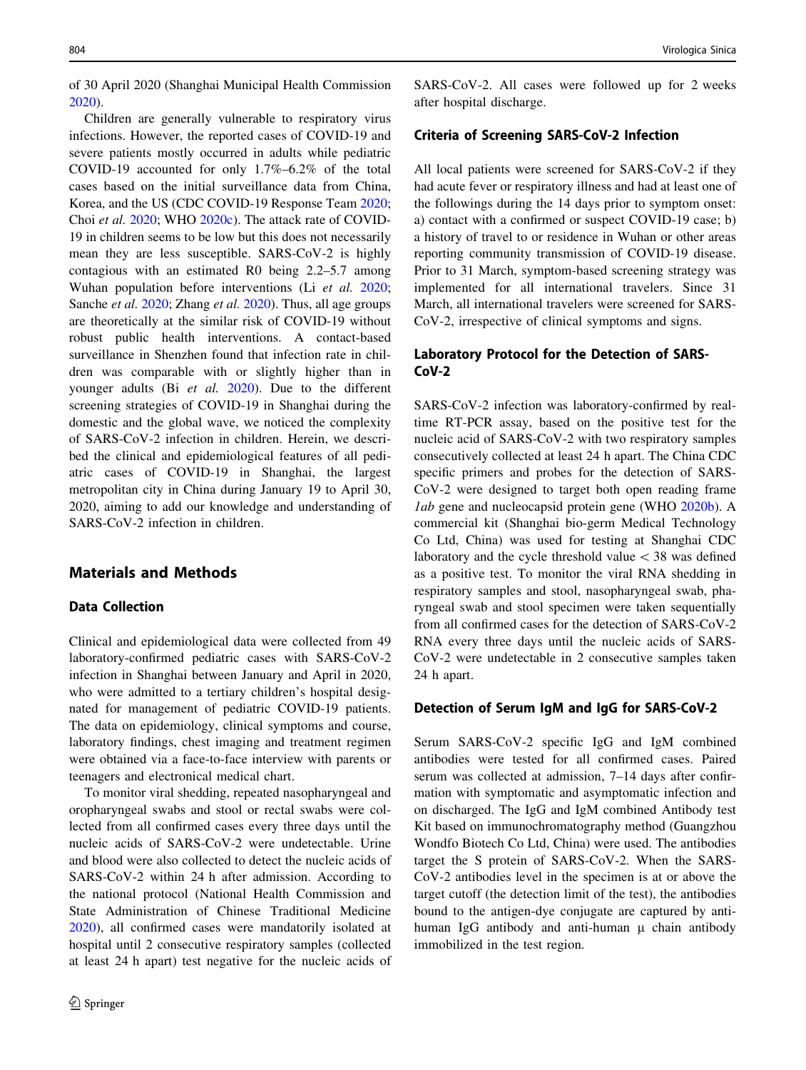of 30 April 2020 (Shanghai Municipal Health Commission [2020\)](#page-7-0).

Children are generally vulnerable to respiratory virus infections. However, the reported cases of COVID-19 and severe patients mostly occurred in adults while pediatric COVID-19 accounted for only 1.7%–6.2% of the total cases based on the initial surveillance data from China, Korea, and the US (CDC COVID-19 Response Team [2020](#page-6-0); Choi et al. [2020;](#page-6-0) WHO [2020c](#page-7-0)). The attack rate of COVID-19 in children seems to be low but this does not necessarily mean they are less susceptible. SARS-CoV-2 is highly contagious with an estimated R0 being 2.2–5.7 among Wuhan population before interventions (Li et al. [2020](#page-6-0); Sanche et al. [2020;](#page-7-0) Zhang et al. [2020](#page-7-0)). Thus, all age groups are theoretically at the similar risk of COVID-19 without robust public health interventions. A contact-based surveillance in Shenzhen found that infection rate in children was comparable with or slightly higher than in younger adults (Bi et al. [2020](#page-6-0)). Due to the different screening strategies of COVID-19 in Shanghai during the domestic and the global wave, we noticed the complexity of SARS-CoV-2 infection in children. Herein, we described the clinical and epidemiological features of all pediatric cases of COVID-19 in Shanghai, the largest metropolitan city in China during January 19 to April 30, 2020, aiming to add our knowledge and understanding of SARS-CoV-2 infection in children.

# Materials and Methods

# Data Collection

Clinical and epidemiological data were collected from 49 laboratory-confirmed pediatric cases with SARS-CoV-2 infection in Shanghai between January and April in 2020, who were admitted to a tertiary children's hospital designated for management of pediatric COVID-19 patients. The data on epidemiology, clinical symptoms and course, laboratory findings, chest imaging and treatment regimen were obtained via a face-to-face interview with parents or teenagers and electronical medical chart.

To monitor viral shedding, repeated nasopharyngeal and oropharyngeal swabs and stool or rectal swabs were collected from all confirmed cases every three days until the nucleic acids of SARS-CoV-2 were undetectable. Urine and blood were also collected to detect the nucleic acids of SARS-CoV-2 within 24 h after admission. According to the national protocol (National Health Commission and State Administration of Chinese Traditional Medicine [2020\)](#page-6-0), all confirmed cases were mandatorily isolated at hospital until 2 consecutive respiratory samples (collected at least 24 h apart) test negative for the nucleic acids of SARS-CoV-2. All cases were followed up for 2 weeks after hospital discharge.

#### Criteria of Screening SARS-CoV-2 Infection

All local patients were screened for SARS-CoV-2 if they had acute fever or respiratory illness and had at least one of the followings during the 14 days prior to symptom onset: a) contact with a confirmed or suspect COVID-19 case; b) a history of travel to or residence in Wuhan or other areas reporting community transmission of COVID-19 disease. Prior to 31 March, symptom-based screening strategy was implemented for all international travelers. Since 31 March, all international travelers were screened for SARS-CoV-2, irrespective of clinical symptoms and signs.

# Laboratory Protocol for the Detection of SARS-CoV-2

SARS-CoV-2 infection was laboratory-confirmed by realtime RT-PCR assay, based on the positive test for the nucleic acid of SARS-CoV-2 with two respiratory samples consecutively collected at least 24 h apart. The China CDC specific primers and probes for the detection of SARS-CoV-2 were designed to target both open reading frame lab gene and nucleocapsid protein gene (WHO [2020b](#page-7-0)). A commercial kit (Shanghai bio-germ Medical Technology Co Ltd, China) was used for testing at Shanghai CDC laboratory and the cycle threshold value  $\lt$  38 was defined as a positive test. To monitor the viral RNA shedding in respiratory samples and stool, nasopharyngeal swab, pharyngeal swab and stool specimen were taken sequentially from all confirmed cases for the detection of SARS-CoV-2 RNA every three days until the nucleic acids of SARS-CoV-2 were undetectable in 2 consecutive samples taken 24 h apart.

## Detection of Serum IgM and IgG for SARS-CoV-2

Serum SARS-CoV-2 specific IgG and IgM combined antibodies were tested for all confirmed cases. Paired serum was collected at admission, 7–14 days after confirmation with symptomatic and asymptomatic infection and on discharged. The IgG and IgM combined Antibody test Kit based on immunochromatography method (Guangzhou Wondfo Biotech Co Ltd, China) were used. The antibodies target the S protein of SARS-CoV-2. When the SARS-CoV-2 antibodies level in the specimen is at or above the target cutoff (the detection limit of the test), the antibodies bound to the antigen-dye conjugate are captured by antihuman IgG antibody and anti-human  $\mu$  chain antibody immobilized in the test region.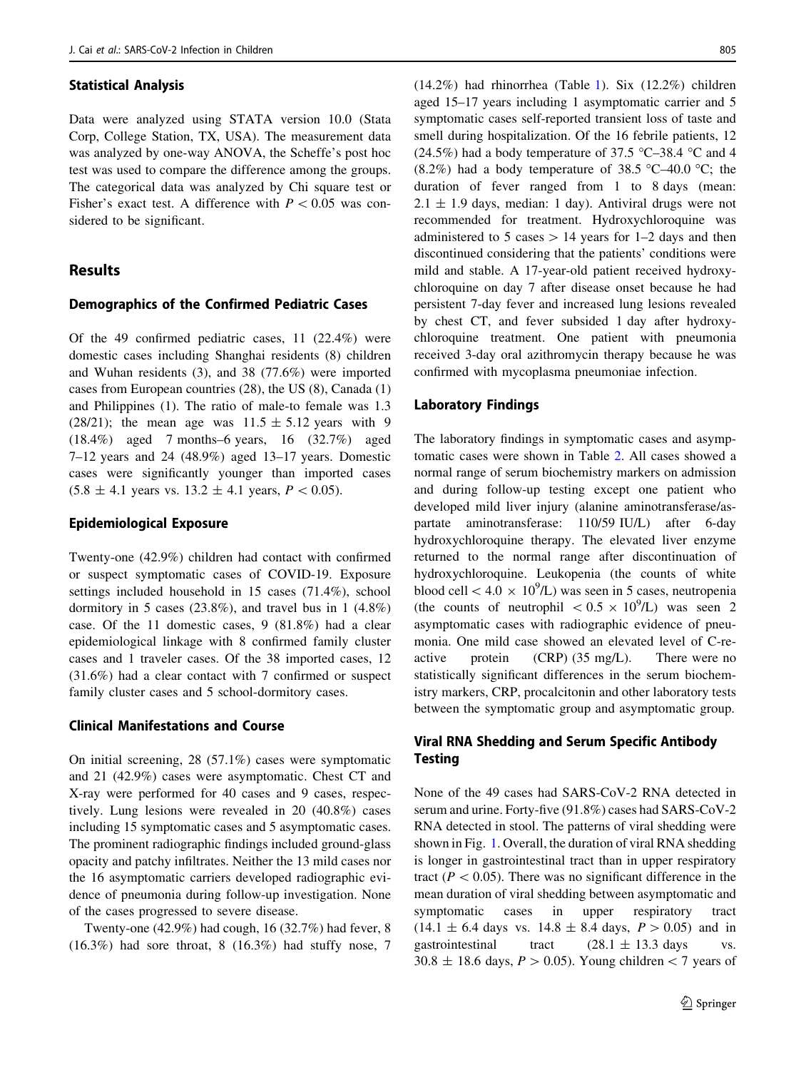## Statistical Analysis

Data were analyzed using STATA version 10.0 (Stata Corp, College Station, TX, USA). The measurement data was analyzed by one-way ANOVA, the Scheffe's post hoc test was used to compare the difference among the groups. The categorical data was analyzed by Chi square test or Fisher's exact test. A difference with  $P \leq 0.05$  was considered to be significant.

# Results

#### Demographics of the Confirmed Pediatric Cases

Of the 49 confirmed pediatric cases, 11 (22.4%) were domestic cases including Shanghai residents (8) children and Wuhan residents (3), and 38 (77.6%) were imported cases from European countries (28), the US (8), Canada (1) and Philippines (1). The ratio of male-to female was 1.3 (28/21); the mean age was  $11.5 \pm 5.12$  years with 9 (18.4%) aged 7 months–6 years, 16 (32.7%) aged 7–12 years and 24 (48.9%) aged 13–17 years. Domestic cases were significantly younger than imported cases  $(5.8 \pm 4.1 \text{ years} \text{ vs. } 13.2 \pm 4.1 \text{ years}, P < 0.05).$ 

#### Epidemiological Exposure

Twenty-one (42.9%) children had contact with confirmed or suspect symptomatic cases of COVID-19. Exposure settings included household in 15 cases (71.4%), school dormitory in 5 cases (23.8%), and travel bus in 1 (4.8%) case. Of the 11 domestic cases, 9 (81.8%) had a clear epidemiological linkage with 8 confirmed family cluster cases and 1 traveler cases. Of the 38 imported cases, 12 (31.6%) had a clear contact with 7 confirmed or suspect family cluster cases and 5 school-dormitory cases.

## Clinical Manifestations and Course

On initial screening, 28 (57.1%) cases were symptomatic and 21 (42.9%) cases were asymptomatic. Chest CT and X-ray were performed for 40 cases and 9 cases, respectively. Lung lesions were revealed in 20 (40.8%) cases including 15 symptomatic cases and 5 asymptomatic cases. The prominent radiographic findings included ground-glass opacity and patchy infiltrates. Neither the 13 mild cases nor the 16 asymptomatic carriers developed radiographic evidence of pneumonia during follow-up investigation. None of the cases progressed to severe disease.

Twenty-one (42.9%) had cough, 16 (32.7%) had fever, 8 (16.3%) had sore throat, 8 (16.3%) had stuffy nose, 7

(14.2%) had rhinorrhea (Table [1\)](#page-3-0). Six (12.2%) children aged 15–17 years including 1 asymptomatic carrier and 5 symptomatic cases self-reported transient loss of taste and smell during hospitalization. Of the 16 febrile patients, 12 (24.5%) had a body temperature of 37.5 °C–38.4 °C and 4 (8.2%) had a body temperature of 38.5 °C-40.0 °C; the duration of fever ranged from 1 to 8 days (mean:  $2.1 \pm 1.9$  days, median: 1 day). Antiviral drugs were not recommended for treatment. Hydroxychloroquine was administered to 5 cases  $> 14$  years for 1–2 days and then discontinued considering that the patients' conditions were mild and stable. A 17-year-old patient received hydroxychloroquine on day 7 after disease onset because he had persistent 7-day fever and increased lung lesions revealed by chest CT, and fever subsided 1 day after hydroxychloroquine treatment. One patient with pneumonia received 3-day oral azithromycin therapy because he was confirmed with mycoplasma pneumoniae infection.

## Laboratory Findings

The laboratory findings in symptomatic cases and asymptomatic cases were shown in Table [2](#page-3-0). All cases showed a normal range of serum biochemistry markers on admission and during follow-up testing except one patient who developed mild liver injury (alanine aminotransferase/aspartate aminotransferase: 110/59 IU/L) after 6-day hydroxychloroquine therapy. The elevated liver enzyme returned to the normal range after discontinuation of hydroxychloroquine. Leukopenia (the counts of white blood cell  $\lt$  4.0  $\times$  10<sup>9</sup>/L) was seen in 5 cases, neutropenia (the counts of neutrophil  $\lt 0.5 \times 10^9$ /L) was seen 2 asymptomatic cases with radiographic evidence of pneumonia. One mild case showed an elevated level of C-reactive protein (CRP) (35 mg/L). There were no statistically significant differences in the serum biochemistry markers, CRP, procalcitonin and other laboratory tests between the symptomatic group and asymptomatic group.

# Viral RNA Shedding and Serum Specific Antibody **Testing**

None of the 49 cases had SARS-CoV-2 RNA detected in serum and urine. Forty-five (91.8%) cases had SARS-CoV-2 RNA detected in stool. The patterns of viral shedding were shown in Fig. [1.](#page-4-0) Overall, the duration of viral RNA shedding is longer in gastrointestinal tract than in upper respiratory tract ( $P < 0.05$ ). There was no significant difference in the mean duration of viral shedding between asymptomatic and symptomatic cases in upper respiratory tract  $(14.1 \pm 6.4$  days vs.  $14.8 \pm 8.4$  days,  $P > 0.05$ ) and in gastrointestinal tract  $(28.1 \pm 13.3 \text{ days} \text{ vs.}$  $30.8 \pm 18.6$  days,  $P > 0.05$ ). Young children  $< 7$  years of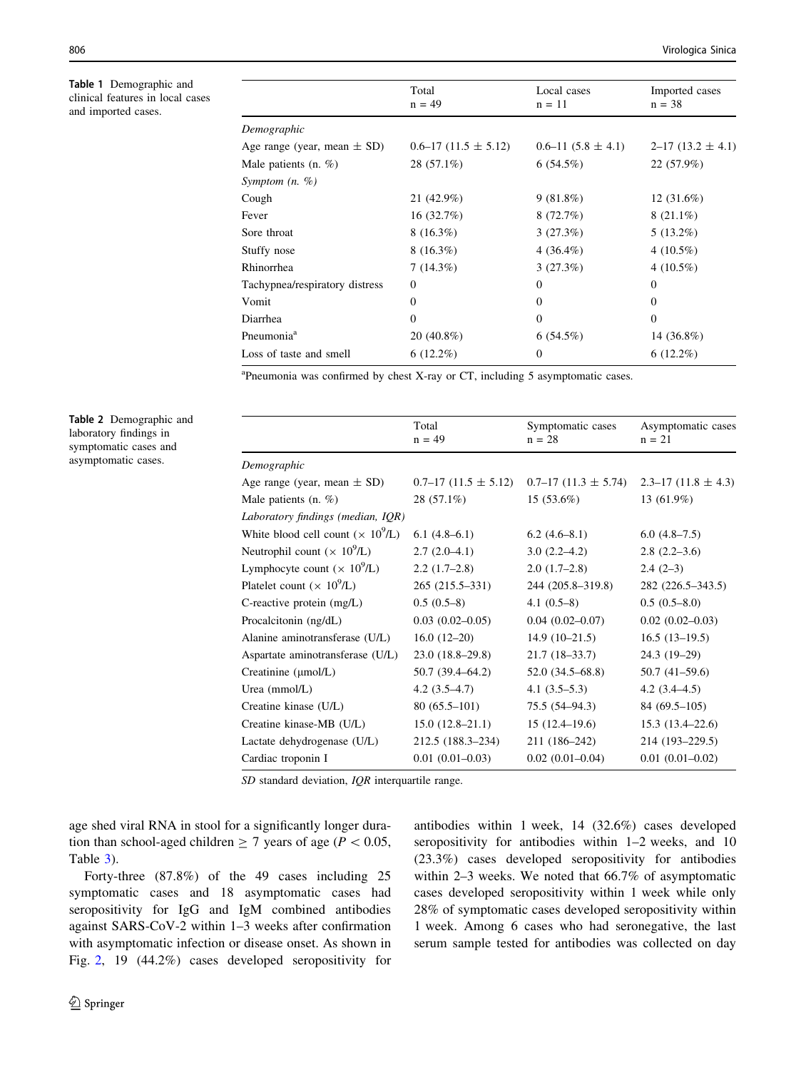<span id="page-3-0"></span>Table 1 Demographic and clinical features in local cases and imported cases.

J.

|                                 | Total<br>$n = 49$       | Local cases<br>$n = 11$ | Imported cases<br>$n = 38$ |
|---------------------------------|-------------------------|-------------------------|----------------------------|
| Demographic                     |                         |                         |                            |
| Age range (year, mean $\pm$ SD) | $0.6-17(11.5 \pm 5.12)$ | $0.6-11(5.8 \pm 4.1)$   | $2-17(13.2 \pm 4.1)$       |
| Male patients $(n, \%)$         | 28 (57.1%)              | 6(54.5%)                | 22 (57.9%)                 |
| Symptom $(n, \%)$               |                         |                         |                            |
| Cough                           | 21 (42.9%)              | 9(81.8%)                | $12(31.6\%)$               |
| Fever                           | 16(32.7%)               | 8(72.7%)                | $8(21.1\%)$                |
| Sore throat                     | $8(16.3\%)$             | 3(27.3%)                | $5(13.2\%)$                |
| Stuffy nose                     | $8(16.3\%)$             | $4(36.4\%)$             | 4 $(10.5\%)$               |
| Rhinorrhea                      | 7(14.3%)                | 3(27.3%)                | 4 $(10.5\%)$               |
| Tachypnea/respiratory distress  | $\Omega$                | $\theta$                | $\Omega$                   |
| Vomit                           | $\Omega$                | $\Omega$                | $\Omega$                   |
| Diarrhea                        | $\overline{0}$          | $\mathbf{0}$            | $\overline{0}$             |
| Pneumonia <sup>a</sup>          | 20 (40.8%)              | 6(54.5%)                | 14 $(36.8\%)$              |
| Loss of taste and smell         | $6(12.2\%)$             | $\theta$                | $6(12.2\%)$                |
|                                 |                         |                         |                            |

<sup>a</sup>Pneumonia was confirmed by chest X-ray or CT, including 5 asymptomatic cases.

Table 2 Demographic and laboratory findings in symptomatic cases and asymptomatic cases.

|                                               | Total<br>$n = 49$       | Symptomatic cases<br>$n = 28$ | Asymptomatic cases<br>$n = 21$ |
|-----------------------------------------------|-------------------------|-------------------------------|--------------------------------|
| Demographic                                   |                         |                               |                                |
| Age range (year, mean $\pm$ SD)               | $0.7-17(11.5 \pm 5.12)$ | $0.7-17(11.3 \pm 5.74)$       | $2.3 - 17(11.8 \pm 4.3)$       |
| Male patients $(n, \%)$                       | 28 (57.1%)              | $15(53.6\%)$                  | 13 (61.9%)                     |
| Laboratory findings (median, IQR)             |                         |                               |                                |
| White blood cell count $(\times 10^9/L)$      | $6.1(4.8-6.1)$          | $6.2(4.6-8.1)$                | $6.0(4.8-7.5)$                 |
| Neutrophil count $(\times 10^9/L)$            | $2.7(2.0-4.1)$          | $3.0(2.2-4.2)$                | $2.8(2.2-3.6)$                 |
| Lymphocyte count $(\times 10^9/L)$            | $2.2(1.7-2.8)$          | $2.0(1.7-2.8)$                | $2.4(2-3)$                     |
| Platelet count ( $\times$ 10 <sup>9</sup> /L) | 265 (215.5–331)         | 244 (205.8-319.8)             | 282 (226.5-343.5)              |
| C-reactive protein $(mg/L)$                   | $0.5(0.5-8)$            | $4.1(0.5-8)$                  | $0.5(0.5-8.0)$                 |
| Procalcitonin (ng/dL)                         | $0.03(0.02-0.05)$       | $0.04(0.02 - 0.07)$           | $0.02(0.02 - 0.03)$            |
| Alanine aminotransferase (U/L)                | $16.0(12-20)$           | $14.9(10-21.5)$               | $16.5(13-19.5)$                |
| Aspartate aminotransferase (U/L)              | $23.0(18.8-29.8)$       | $21.7(18-33.7)$               | 24.3 (19-29)                   |
| Creatinine (µmol/L)                           | $50.7(39.4 - 64.2)$     | $52.0(34.5 - 68.8)$           | $50.7(41-59.6)$                |
| Urea (mmol/L)                                 | $4.2(3.5-4.7)$          | $4.1(3.5-5.3)$                | $4.2(3.4 - 4.5)$               |
| Creatine kinase (U/L)                         | $80(65.5-101)$          | $75.5(54-94.3)$               | $84(69.5-105)$                 |
| Creatine kinase-MB (U/L)                      | $15.0(12.8-21.1)$       | $15(12.4 - 19.6)$             | $15.3(13.4 - 22.6)$            |
| Lactate dehydrogenase (U/L)                   | 212.5 (188.3–234)       | 211 (186–242)                 | 214 (193-229.5)                |
| Cardiac troponin I                            | $0.01(0.01-0.03)$       | $0.02$ $(0.01 - 0.04)$        | $0.01(0.01 - 0.02)$            |
|                                               |                         |                               |                                |

SD standard deviation, IQR interquartile range.

age shed viral RNA in stool for a significantly longer duration than school-aged children  $\geq 7$  years of age ( $P < 0.05$ , Table [3](#page-4-0)).

Forty-three (87.8%) of the 49 cases including 25 symptomatic cases and 18 asymptomatic cases had seropositivity for IgG and IgM combined antibodies against SARS-CoV-2 within 1–3 weeks after confirmation with asymptomatic infection or disease onset. As shown in Fig. [2](#page-5-0), 19 (44.2%) cases developed seropositivity for antibodies within 1 week, 14 (32.6%) cases developed seropositivity for antibodies within 1–2 weeks, and 10 (23.3%) cases developed seropositivity for antibodies within 2–3 weeks. We noted that 66.7% of asymptomatic cases developed seropositivity within 1 week while only 28% of symptomatic cases developed seropositivity within 1 week. Among 6 cases who had seronegative, the last serum sample tested for antibodies was collected on day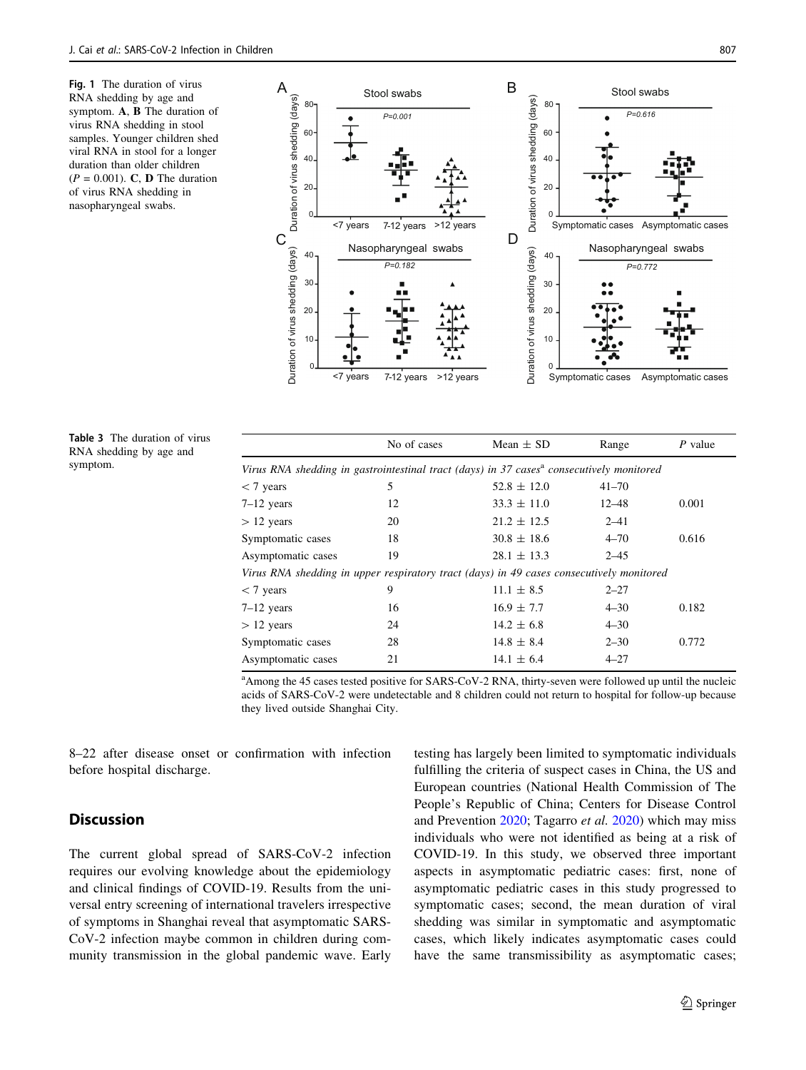<span id="page-4-0"></span>Fig. 1 The duration of virus RNA shedding by age and symptom. A, B The duration of virus RNA shedding in stool samples. Younger children shed viral RNA in stool for a longer duration than older children  $(P = 0.001)$ . C, D The duration of virus RNA shedding in nasopharyngeal swabs.



Table 3 The duration of virus RNA shedding by age and symptom.

|                                                                                                      | No of cases | Mean $\pm$ SD   | Range     | P value |  |  |  |
|------------------------------------------------------------------------------------------------------|-------------|-----------------|-----------|---------|--|--|--|
| Virus RNA shedding in gastrointestinal tract (days) in 37 cases <sup>a</sup> consecutively monitored |             |                 |           |         |  |  |  |
| $<$ 7 years                                                                                          | 5           | $52.8 \pm 12.0$ | $41 - 70$ |         |  |  |  |
| $7-12$ years                                                                                         | 12          | $33.3 \pm 11.0$ | $12 - 48$ | 0.001   |  |  |  |
| $> 12$ years                                                                                         | 20          | $21.2 \pm 12.5$ | $2 - 41$  |         |  |  |  |
| Symptomatic cases                                                                                    | 18          | $30.8 \pm 18.6$ | $4 - 70$  | 0.616   |  |  |  |
| Asymptomatic cases                                                                                   | 19          | $28.1 \pm 13.3$ | $2 - 4.5$ |         |  |  |  |
| Virus RNA shedding in upper respiratory tract (days) in 49 cases consecutively monitored             |             |                 |           |         |  |  |  |
| $<$ 7 years                                                                                          | 9           | $11.1 \pm 8.5$  | $2 - 27$  |         |  |  |  |
| $7-12$ years                                                                                         | 16          | $16.9 \pm 7.7$  | $4 - 30$  | 0.182   |  |  |  |
| $> 12$ years                                                                                         | 24          | $14.2 \pm 6.8$  | $4 - 30$  |         |  |  |  |
| Symptomatic cases                                                                                    | 28          | $14.8 \pm 8.4$  | $2 - 30$  | 0.772   |  |  |  |
| Asymptomatic cases                                                                                   | 21          | $14.1 \pm 6.4$  | $4 - 27$  |         |  |  |  |

<sup>a</sup> Among the 45 cases tested positive for SARS-CoV-2 RNA, thirty-seven were followed up until the nucleic acids of SARS-CoV-2 were undetectable and 8 children could not return to hospital for follow-up because they lived outside Shanghai City.

8–22 after disease onset or confirmation with infection before hospital discharge.

# **Discussion**

The current global spread of SARS-CoV-2 infection requires our evolving knowledge about the epidemiology and clinical findings of COVID-19. Results from the universal entry screening of international travelers irrespective of symptoms in Shanghai reveal that asymptomatic SARS-CoV-2 infection maybe common in children during community transmission in the global pandemic wave. Early testing has largely been limited to symptomatic individuals fulfilling the criteria of suspect cases in China, the US and European countries (National Health Commission of The People's Republic of China; Centers for Disease Control and Prevention [2020](#page-6-0); Tagarro et al. [2020\)](#page-7-0) which may miss individuals who were not identified as being at a risk of COVID-19. In this study, we observed three important aspects in asymptomatic pediatric cases: first, none of asymptomatic pediatric cases in this study progressed to symptomatic cases; second, the mean duration of viral shedding was similar in symptomatic and asymptomatic cases, which likely indicates asymptomatic cases could have the same transmissibility as asymptomatic cases;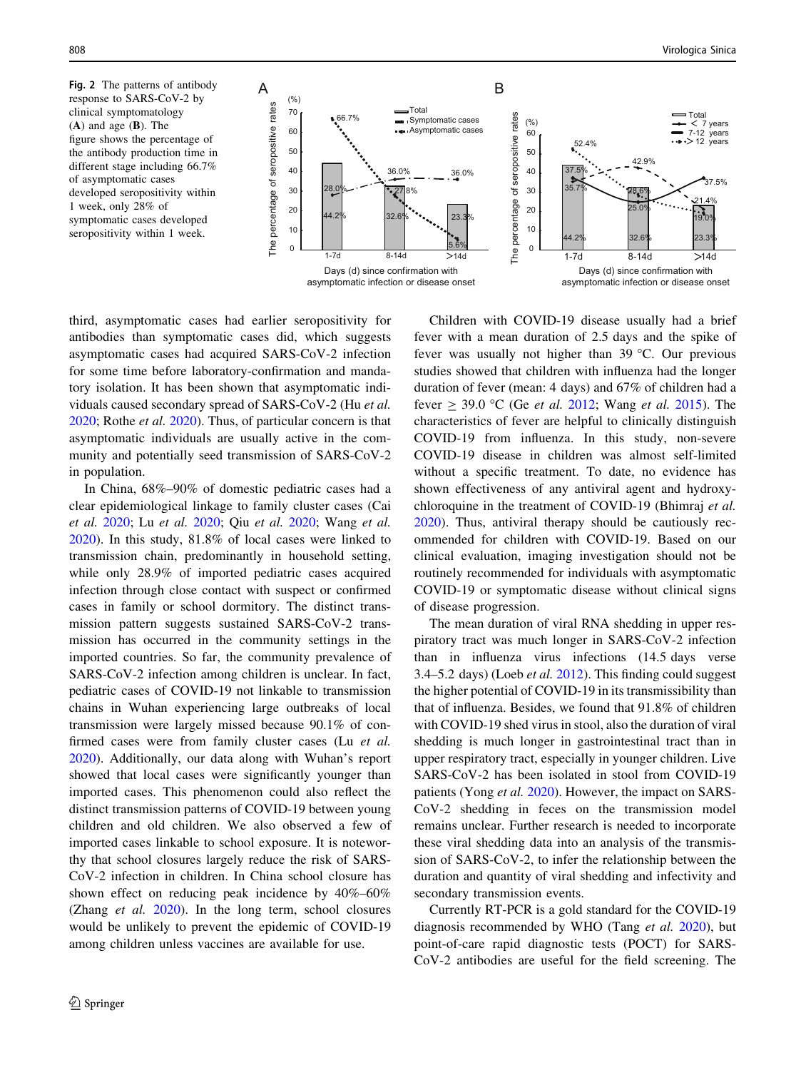<span id="page-5-0"></span>Fig. 2 The patterns of antibody response to SARS-CoV-2 by clinical symptomatology (A) and age (B). The figure shows the percentage of the antibody production time in different stage including 66.7% of asymptomatic cases developed seropositivity within 1 week, only 28% of symptomatic cases developed seropositivity within 1 week.



third, asymptomatic cases had earlier seropositivity for antibodies than symptomatic cases did, which suggests asymptomatic cases had acquired SARS-CoV-2 infection for some time before laboratory-confirmation and mandatory isolation. It has been shown that asymptomatic individuals caused secondary spread of SARS-CoV-2 (Hu et al. [2020;](#page-6-0) Rothe et al. [2020](#page-7-0)). Thus, of particular concern is that asymptomatic individuals are usually active in the community and potentially seed transmission of SARS-CoV-2 in population.

In China, 68%–90% of domestic pediatric cases had a clear epidemiological linkage to family cluster cases (Cai et al. [2020](#page-6-0); Lu et al. [2020;](#page-6-0) Qiu et al. [2020](#page-6-0); Wang et al. [2020\)](#page-7-0). In this study, 81.8% of local cases were linked to transmission chain, predominantly in household setting, while only 28.9% of imported pediatric cases acquired infection through close contact with suspect or confirmed cases in family or school dormitory. The distinct transmission pattern suggests sustained SARS-CoV-2 transmission has occurred in the community settings in the imported countries. So far, the community prevalence of SARS-CoV-2 infection among children is unclear. In fact, pediatric cases of COVID-19 not linkable to transmission chains in Wuhan experiencing large outbreaks of local transmission were largely missed because 90.1% of confirmed cases were from family cluster cases (Lu et al. [2020\)](#page-6-0). Additionally, our data along with Wuhan's report showed that local cases were significantly younger than imported cases. This phenomenon could also reflect the distinct transmission patterns of COVID-19 between young children and old children. We also observed a few of imported cases linkable to school exposure. It is noteworthy that school closures largely reduce the risk of SARS-CoV-2 infection in children. In China school closure has shown effect on reducing peak incidence by 40%–60% (Zhang et al. [2020](#page-7-0)). In the long term, school closures would be unlikely to prevent the epidemic of COVID-19 among children unless vaccines are available for use.

Children with COVID-19 disease usually had a brief fever with a mean duration of 2.5 days and the spike of fever was usually not higher than  $39^{\circ}$ C. Our previous studies showed that children with influenza had the longer duration of fever (mean: 4 days) and 67% of children had a fever  $\geq$  39.0 °C (Ge *et al.* [2012;](#page-6-0) Wang *et al.* [2015](#page-7-0)). The characteristics of fever are helpful to clinically distinguish COVID-19 from influenza. In this study, non-severe COVID-19 disease in children was almost self-limited without a specific treatment. To date, no evidence has shown effectiveness of any antiviral agent and hydroxychloroquine in the treatment of COVID-19 (Bhimraj et al. [2020](#page-6-0)). Thus, antiviral therapy should be cautiously recommended for children with COVID-19. Based on our clinical evaluation, imaging investigation should not be routinely recommended for individuals with asymptomatic COVID-19 or symptomatic disease without clinical signs of disease progression.

The mean duration of viral RNA shedding in upper respiratory tract was much longer in SARS-CoV-2 infection than in influenza virus infections (14.5 days verse 3.4–5.2 days) (Loeb et al. [2012](#page-6-0)). This finding could suggest the higher potential of COVID-19 in its transmissibility than that of influenza. Besides, we found that 91.8% of children with COVID-19 shed virus in stool, also the duration of viral shedding is much longer in gastrointestinal tract than in upper respiratory tract, especially in younger children. Live SARS-CoV-2 has been isolated in stool from COVID-19 patients (Yong et al. [2020\)](#page-7-0). However, the impact on SARS-CoV-2 shedding in feces on the transmission model remains unclear. Further research is needed to incorporate these viral shedding data into an analysis of the transmission of SARS-CoV-2, to infer the relationship between the duration and quantity of viral shedding and infectivity and secondary transmission events.

Currently RT-PCR is a gold standard for the COVID-19 diagnosis recommended by WHO (Tang et al. [2020\)](#page-7-0), but point-of-care rapid diagnostic tests (POCT) for SARS-CoV-2 antibodies are useful for the field screening. The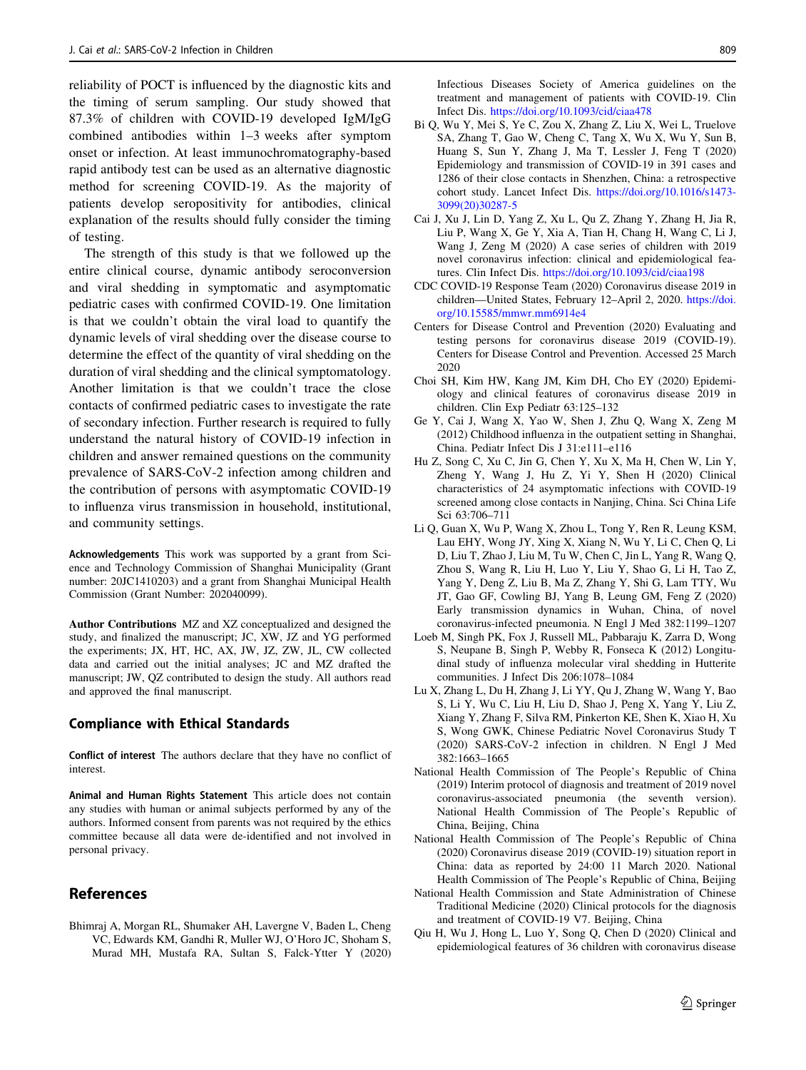<span id="page-6-0"></span>reliability of POCT is influenced by the diagnostic kits and the timing of serum sampling. Our study showed that 87.3% of children with COVID-19 developed IgM/IgG combined antibodies within 1–3 weeks after symptom onset or infection. At least immunochromatography-based rapid antibody test can be used as an alternative diagnostic method for screening COVID-19. As the majority of patients develop seropositivity for antibodies, clinical explanation of the results should fully consider the timing of testing.

The strength of this study is that we followed up the entire clinical course, dynamic antibody seroconversion and viral shedding in symptomatic and asymptomatic pediatric cases with confirmed COVID-19. One limitation is that we couldn't obtain the viral load to quantify the dynamic levels of viral shedding over the disease course to determine the effect of the quantity of viral shedding on the duration of viral shedding and the clinical symptomatology. Another limitation is that we couldn't trace the close contacts of confirmed pediatric cases to investigate the rate of secondary infection. Further research is required to fully understand the natural history of COVID-19 infection in children and answer remained questions on the community prevalence of SARS-CoV-2 infection among children and the contribution of persons with asymptomatic COVID-19 to influenza virus transmission in household, institutional, and community settings.

Acknowledgements This work was supported by a grant from Science and Technology Commission of Shanghai Municipality (Grant number: 20JC1410203) and a grant from Shanghai Municipal Health Commission (Grant Number: 202040099).

Author Contributions MZ and XZ conceptualized and designed the study, and finalized the manuscript; JC, XW, JZ and YG performed the experiments; JX, HT, HC, AX, JW, JZ, ZW, JL, CW collected data and carried out the initial analyses; JC and MZ drafted the manuscript; JW, QZ contributed to design the study. All authors read and approved the final manuscript.

#### Compliance with Ethical Standards

Conflict of interest The authors declare that they have no conflict of interest.

Animal and Human Rights Statement This article does not contain any studies with human or animal subjects performed by any of the authors. Informed consent from parents was not required by the ethics committee because all data were de-identified and not involved in personal privacy.

# References

Bhimraj A, Morgan RL, Shumaker AH, Lavergne V, Baden L, Cheng VC, Edwards KM, Gandhi R, Muller WJ, O'Horo JC, Shoham S, Murad MH, Mustafa RA, Sultan S, Falck-Ytter Y (2020) Infectious Diseases Society of America guidelines on the treatment and management of patients with COVID-19. Clin Infect Dis. <https://doi.org/10.1093/cid/ciaa478>

- Bi Q, Wu Y, Mei S, Ye C, Zou X, Zhang Z, Liu X, Wei L, Truelove SA, Zhang T, Gao W, Cheng C, Tang X, Wu X, Wu Y, Sun B, Huang S, Sun Y, Zhang J, Ma T, Lessler J, Feng T (2020) Epidemiology and transmission of COVID-19 in 391 cases and 1286 of their close contacts in Shenzhen, China: a retrospective cohort study. Lancet Infect Dis. [https://doi.org/10.1016/s1473-](https://doi.org/10.1016/s1473-3099(20)30287-5) [3099\(20\)30287-5](https://doi.org/10.1016/s1473-3099(20)30287-5)
- Cai J, Xu J, Lin D, Yang Z, Xu L, Qu Z, Zhang Y, Zhang H, Jia R, Liu P, Wang X, Ge Y, Xia A, Tian H, Chang H, Wang C, Li J, Wang J, Zeng M (2020) A case series of children with 2019 novel coronavirus infection: clinical and epidemiological features. Clin Infect Dis. <https://doi.org/10.1093/cid/ciaa198>
- CDC COVID-19 Response Team (2020) Coronavirus disease 2019 in children—United States, February 12–April 2, 2020. [https://doi.](https://doi.org/10.15585/mmwr.mm6914e4) [org/10.15585/mmwr.mm6914e4](https://doi.org/10.15585/mmwr.mm6914e4)
- Centers for Disease Control and Prevention (2020) Evaluating and testing persons for coronavirus disease 2019 (COVID-19). Centers for Disease Control and Prevention. Accessed 25 March 2020
- Choi SH, Kim HW, Kang JM, Kim DH, Cho EY (2020) Epidemiology and clinical features of coronavirus disease 2019 in children. Clin Exp Pediatr 63:125–132
- Ge Y, Cai J, Wang X, Yao W, Shen J, Zhu Q, Wang X, Zeng M (2012) Childhood influenza in the outpatient setting in Shanghai, China. Pediatr Infect Dis J 31:e111–e116
- Hu Z, Song C, Xu C, Jin G, Chen Y, Xu X, Ma H, Chen W, Lin Y, Zheng Y, Wang J, Hu Z, Yi Y, Shen H (2020) Clinical characteristics of 24 asymptomatic infections with COVID-19 screened among close contacts in Nanjing, China. Sci China Life Sci 63:706–711
- Li Q, Guan X, Wu P, Wang X, Zhou L, Tong Y, Ren R, Leung KSM, Lau EHY, Wong JY, Xing X, Xiang N, Wu Y, Li C, Chen Q, Li D, Liu T, Zhao J, Liu M, Tu W, Chen C, Jin L, Yang R, Wang Q, Zhou S, Wang R, Liu H, Luo Y, Liu Y, Shao G, Li H, Tao Z, Yang Y, Deng Z, Liu B, Ma Z, Zhang Y, Shi G, Lam TTY, Wu JT, Gao GF, Cowling BJ, Yang B, Leung GM, Feng Z (2020) Early transmission dynamics in Wuhan, China, of novel coronavirus-infected pneumonia. N Engl J Med 382:1199–1207
- Loeb M, Singh PK, Fox J, Russell ML, Pabbaraju K, Zarra D, Wong S, Neupane B, Singh P, Webby R, Fonseca K (2012) Longitudinal study of influenza molecular viral shedding in Hutterite communities. J Infect Dis 206:1078–1084
- Lu X, Zhang L, Du H, Zhang J, Li YY, Qu J, Zhang W, Wang Y, Bao S, Li Y, Wu C, Liu H, Liu D, Shao J, Peng X, Yang Y, Liu Z, Xiang Y, Zhang F, Silva RM, Pinkerton KE, Shen K, Xiao H, Xu S, Wong GWK, Chinese Pediatric Novel Coronavirus Study T (2020) SARS-CoV-2 infection in children. N Engl J Med 382:1663–1665
- National Health Commission of The People's Republic of China (2019) Interim protocol of diagnosis and treatment of 2019 novel coronavirus-associated pneumonia (the seventh version). National Health Commission of The People's Republic of China, Beijing, China
- National Health Commission of The People's Republic of China (2020) Coronavirus disease 2019 (COVID-19) situation report in China: data as reported by 24:00 11 March 2020. National Health Commission of The People's Republic of China, Beijing
- National Health Commission and State Administration of Chinese Traditional Medicine (2020) Clinical protocols for the diagnosis and treatment of COVID-19 V7. Beijing, China
- Qiu H, Wu J, Hong L, Luo Y, Song Q, Chen D (2020) Clinical and epidemiological features of 36 children with coronavirus disease